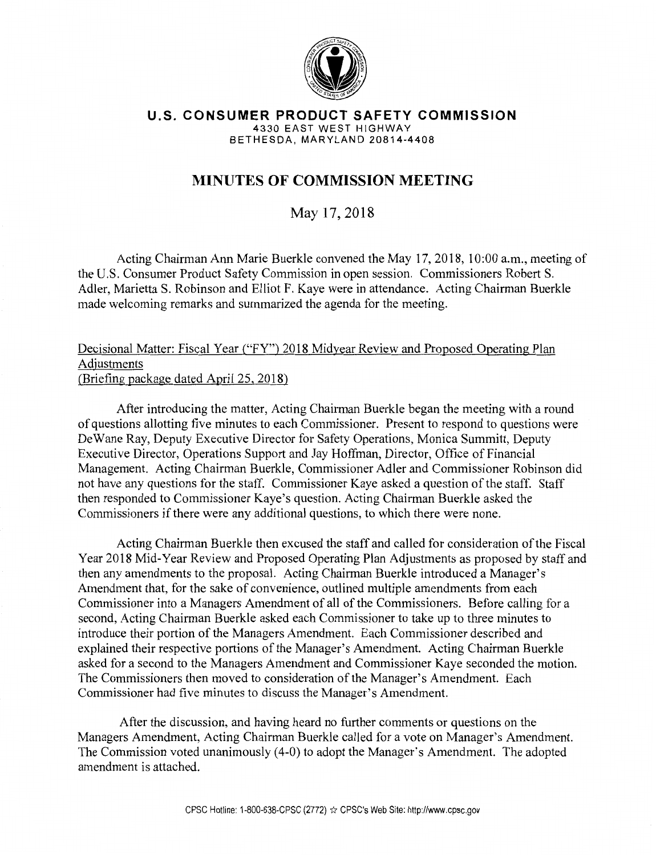

**U.S. CONSUMER PRODUCT SAFETY COMMISSION**  4330 EAST WEST HIGHWAY BETHESDA, MARYLAND 20814-4408

## **MINUTES OF COMMISSION MEETING**

May 17,2018

Acting Chairman Ann Marie Buerkle convened the May 17,2018, 10:00 a.m., meeting of the U.S. Consumer Product Safety Commission in open session. Commissioners RobertS. Adler, Marietta S. Robinson and Elliot F. Kaye were in attendance. Acting Chairman Buerkle made welcoming remarks and summarized the agenda for the meeting.

Decisional Matter: Fiscal Year ("FY") 2018 Midyear Review and Proposed Operating Plan Adjustments (Briefing package dated April25, 2018)

After introducing the matter, Acting Chairman Buerkle began the meeting with a round of questions allotting five minutes to each Commissioner. Present to respond to questions were De Wane Ray, Deputy Executive Director for Safety Operations, Monica Summitt, Deputy Executive Director, Operations Support and Jay Hoffman, Director, Office of Financial Management. Acting Chairman Buerkle, Commissioner Adler and Commissioner Robinson did not have any questions for the staff. Commissioner Kaye asked a question of the staff. Staff then responded to Commissioner Kaye's question. Acting Chairman Buerkle asked the Commissioners if there were any additional questions, to which there were none.

Acting Chairman Buerkle then excused the staff and called for consideration of the Fiscal Year 2018 Mid-Year Review and Proposed Operating Plan Adjustments as proposed by staff and then any amendments to the proposal. Acting Chairman Buerkle introduced a Manager's Amendment that, for the sake of convenience, outlined multiple amendments from each Commissioner into a Managers Amendment of all of the Commissioners. Before calling for a second, Acting Chairman Buerkle asked each Commissioner to take up to three minutes to introduce their portion of the Managers Amendment. Each Commissioner described and explained their respective portions of the Manager's Amendment. Acting Chairman Buerkle asked for a second to the Managers Amendment and Commissioner Kaye seconded the motion. The Commissioners then moved to consideration of the Manager's Amendment. Each Commissioner had five minutes to discuss the Manager's Amendment.

After the discussion, and having heard no further comments or questions on the Managers Amendment, Acting Chairman Buerkle called for a vote on Manager's Amendment. The Commission voted unanimously (4-0) to adopt the Manager's Amendment. The adopted amendment is attached.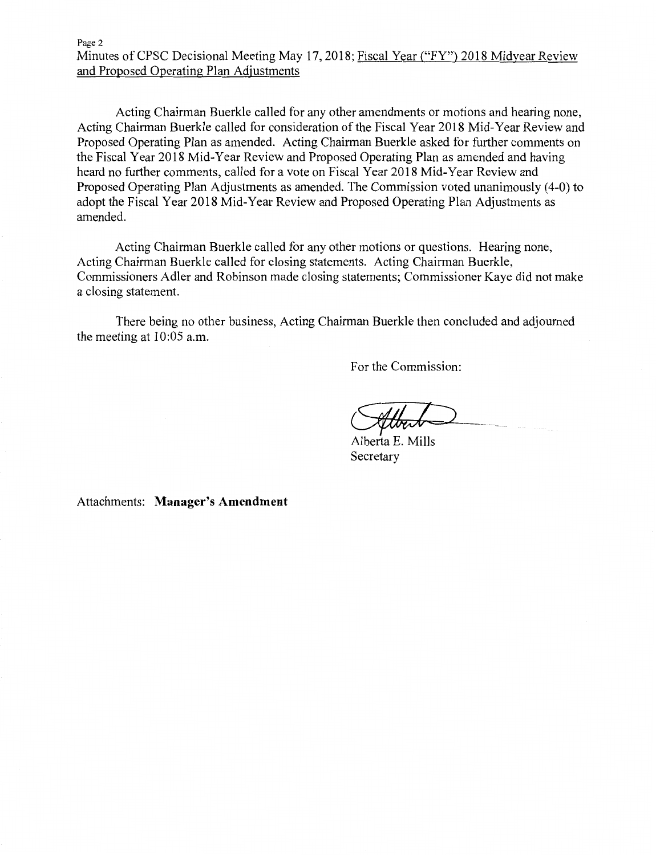Acting Chairman Buerkle called for any other amendments or motions and hearing none, Acting Chairman Buerkle called for consideration of the Fiscal Year 2018 Mid-Year Review and Proposed Operating Plan as amended. Acting Chairman Buerkle asked for further comments on the Fiscal Year 2018 Mid-Year Review and Proposed Operating Plan as amended and having heard no further comments, called for a vote on Fiscal Year 2018 Mid-Year Review and Proposed Operating Plan Adjustments as amended. The Commission voted unanimously ( 4-0) to adopt the Fiscal Year 2018 Mid-Year Review and Proposed Operating Plan Adjustments as amended.

Acting Chairman Buerkle called for any other motions or questions. Hearing none, Acting Chairman Buerkle called for closing statements. Acting Chairman Buerkle, Commissioners Adler and Robinson made closing statements; Commissioner Kaye did not make a closing statement.

There being no other business, Acting Chairman Buerkle then concluded and adjourned the meeting at 10:05 a.m.

For the Commission:

*Cultural*<br>Alberta E. Mills

Secretary

Attachments: **Manager's Amendment**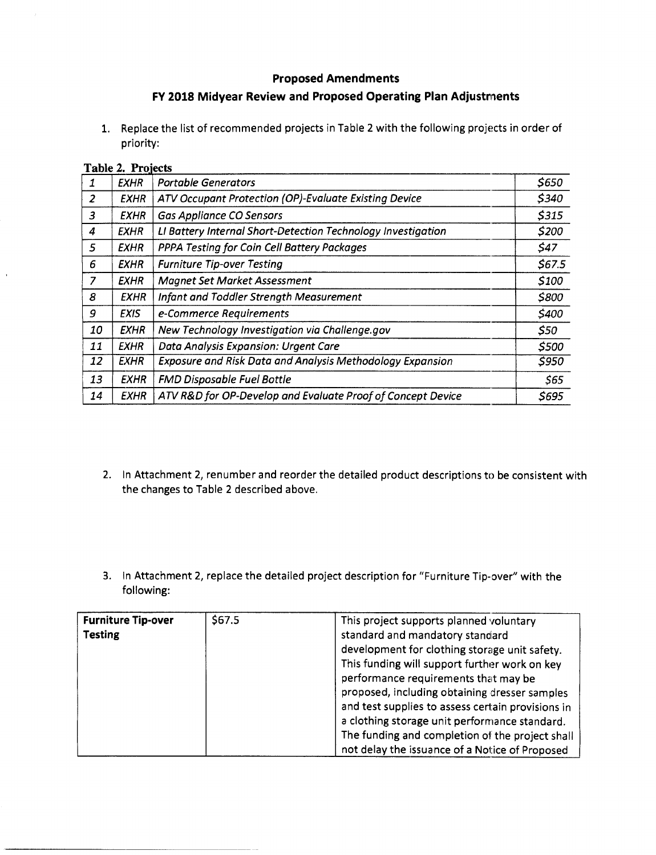## **Proposed Amendments**

## **FY 2018 Midyear Review and Proposed Operating Plan Adjustments**

1. Replace the list of recommended projects in Table 2 with the following projects in order of priority:

## **Table 2. Projects**

| <b>EXHR</b> | <b>Portable Generators</b>                                       | \$650  |
|-------------|------------------------------------------------------------------|--------|
| <b>EXHR</b> | ATV Occupant Protection (OP)-Evaluate Existing Device            | \$340  |
| EXHR        | <b>Gas Appliance CO Sensors</b>                                  | \$315  |
| EXHR        | LI Battery Internal Short-Detection Technology Investigation     | \$200  |
| <b>EXHR</b> | PPPA Testing for Coin Cell Battery Packages                      | \$47   |
| <b>EXHR</b> | <b>Furniture Tip-over Testing</b>                                | \$67.5 |
| <b>EXHR</b> | <b>Magnet Set Market Assessment</b>                              | \$100  |
| <b>EXHR</b> | Infant and Toddler Strength Measurement                          | \$800  |
| <b>EXIS</b> | e-Commerce Requirements                                          | \$400  |
| <b>EXHR</b> | New Technology Investigation via Challenge.gov                   | \$50   |
| <b>EXHR</b> | Data Analysis Expansion: Urgent Care                             | \$500  |
| <b>EXHR</b> | <b>Exposure and Risk Data and Analysis Methodology Expansion</b> | \$950  |
| <b>EXHR</b> | <b>FMD Disposable Fuel Bottle</b>                                | \$65   |
| <b>EXHR</b> | ATV R&D for OP-Develop and Evaluate Proof of Concept Device      | \$695  |
|             |                                                                  |        |

- 2. In Attachment 2, renumber and reorder the detailed product descriptions to be consistent with the changes to Table 2 described above.
- 3. In Attachment 2, replace the detailed project description for "Furniture Tip-over" with the following:

| <b>Furniture Tip-over</b><br><b>Testing</b> | \$67.5 | This project supports planned voluntary<br>standard and mandatory standard<br>development for clothing storage unit safety.<br>This funding will support further work on key<br>performance requirements that may be                                     |
|---------------------------------------------|--------|----------------------------------------------------------------------------------------------------------------------------------------------------------------------------------------------------------------------------------------------------------|
|                                             |        | proposed, including obtaining dresser samples<br>and test supplies to assess certain provisions in<br>a clothing storage unit performance standard.<br>The funding and completion of the project shall<br>not delay the issuance of a Notice of Proposed |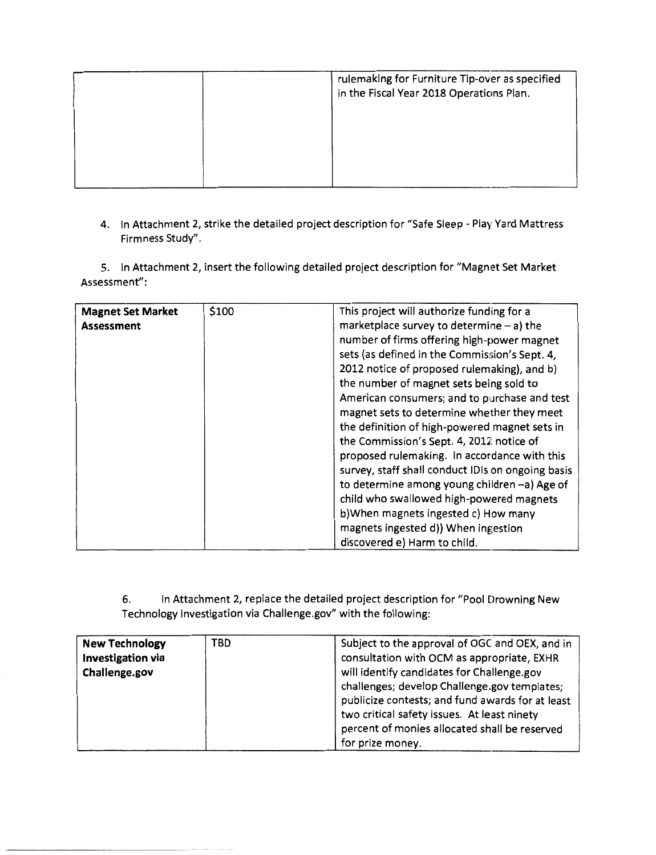| rulemaking for Furniture Tip-over as specified<br>in the Fiscal Year 2018 Operations Plan. |  |
|--------------------------------------------------------------------------------------------|--|
|                                                                                            |  |
|                                                                                            |  |

4. In Attachment 2, strike the detailed project description for "Safe Sleep- Play Yard Mattress Firmness Study".

5. In Attachment 2, insert the following detailed project description for "Magnet Set Market Assessment":

| <b>Magnet Set Market</b><br><b>Assessment</b> | \$100 | This project will authorize funding for a<br>marketplace survey to determine $-$ a) the<br>number of firms offering high-power magnet<br>sets (as defined in the Commission's Sept. 4,<br>2012 notice of proposed rulemaking), and b)<br>the number of magnet sets being sold to<br>American consumers; and to purchase and test<br>magnet sets to determine whether they meet<br>the definition of high-powered magnet sets in<br>the Commission's Sept. 4, 2012 notice of |
|-----------------------------------------------|-------|-----------------------------------------------------------------------------------------------------------------------------------------------------------------------------------------------------------------------------------------------------------------------------------------------------------------------------------------------------------------------------------------------------------------------------------------------------------------------------|
|                                               |       | proposed rulemaking. In accordance with this<br>survey, staff shall conduct IDIs on ongoing basis<br>to determine among young children -a) Age of<br>child who swallowed high-powered magnets<br>b) When magnets ingested c) How many                                                                                                                                                                                                                                       |
|                                               |       | magnets ingested d)) When ingestion<br>discovered e) Harm to child.                                                                                                                                                                                                                                                                                                                                                                                                         |

6. In Attachment 2, replace the detailed project description for "Pool Drowning New Technology Investigation via Challenge.gov" with the following:

| <b>New Technology</b> | TBD | Subject to the approval of OGC and OEX, and in   |
|-----------------------|-----|--------------------------------------------------|
| Investigation via     |     | consultation with OCM as appropriate, EXHR       |
| Challenge.gov         |     | will identify candidates for Challenge.gov       |
|                       |     | challenges; develop Challenge.gov templates;     |
|                       |     | publicize contests; and fund awards for at least |
|                       |     | two critical safety issues. At least ninety      |
|                       |     | percent of monies allocated shall be reserved    |
|                       |     | for prize money.                                 |